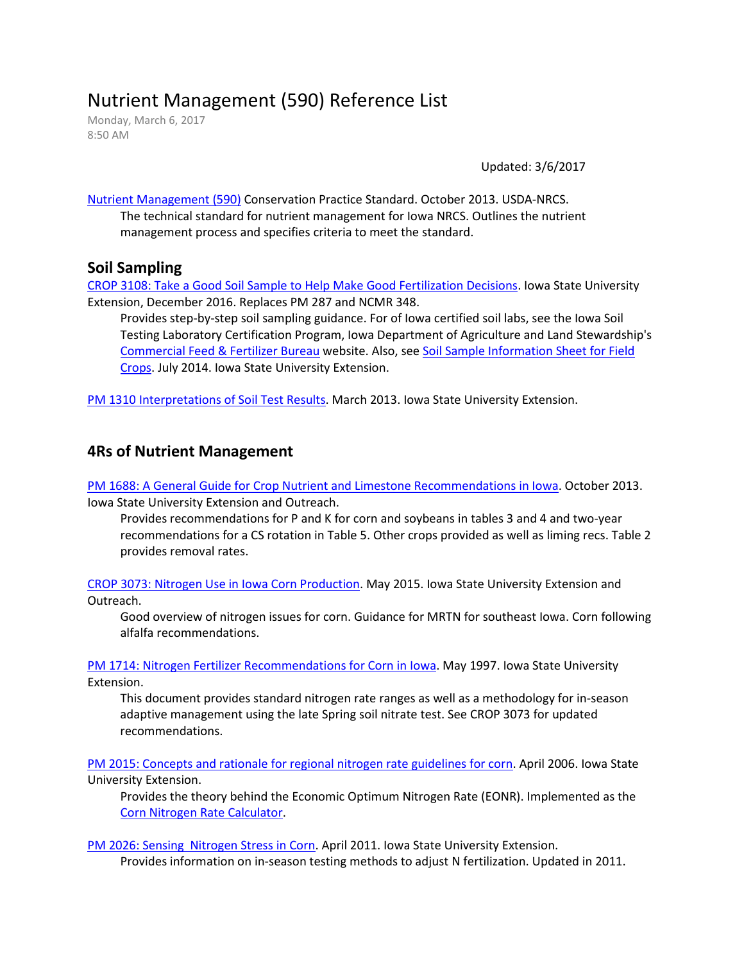# Nutrient Management (590) Reference List

Monday, March 6, 2017 8:50 AM

Updated: 3/6/2017

[Nutrient Management \(590\)](https://efotg.sc.egov.usda.gov/references/public/IA/Nutrient_Management_590_STD_2013_10.pdf) Conservation Practice Standard. October 2013. USDA-NRCS. The technical standard for nutrient management for Iowa NRCS. Outlines the nutrient management process and specifies criteria to meet the standard.

#### **Soil Sampling**

[CROP 3108: Take a Good Soil Sample to Help Make Good Fertilization Decisions.](https://store.extension.iastate.edu/Product/Take-a-Good-Soil-Sample-to-Help-Make-Good-Fertilization-Decisions) Iowa State University Extension, December 2016. Replaces PM 287 and NCMR 348.

Provides step-by-step soil sampling guidance. For of Iowa certified soil labs, see the Iowa Soil Testing Laboratory Certification Program, Iowa Department of Agriculture and Land Stewardship's [Commercial Feed & Fertilizer Bureau](http://www.iowaagriculture.gov/feedandfertilizer.asp) website. Also, see [Soil Sample Information Sheet for Field](https://store.extension.iastate.edu/Product/Soil-Sample-Information-Sheet-for-Field-Crops)  [Crops.](https://store.extension.iastate.edu/Product/Soil-Sample-Information-Sheet-for-Field-Crops) July 2014. Iowa State University Extension.

[PM 1310 Interpretations of Soil Test Results.](https://store.extension.iastate.edu/Product/Interpretation-of-Soil-Test-Results) March 2013. Iowa State University Extension.

#### **4Rs of Nutrient Management**

[PM 1688: A General Guide for Crop Nutrient and Limestone Recommendations in Iowa.](https://store.extension.iastate.edu/Product/A-General-Guide-for-Crop-Nutrient-and-Limestone-Recommendations-in-Iowa) October 2013. Iowa State University Extension and Outreach.

Provides recommendations for P and K for corn and soybeans in tables 3 and 4 and two-year recommendations for a CS rotation in Table 5. Other crops provided as well as liming recs. Table 2 provides removal rates.

[CROP 3073: Nitrogen Use in Iowa Corn Production.](https://store.extension.iastate.edu/Product/Nitrogen-Use-in-Iowa-Corn-Production) May 2015. Iowa State University Extension and Outreach.

Good overview of nitrogen issues for corn. Guidance for MRTN for southeast Iowa. Corn following alfalfa recommendations.

[PM 1714: Nitrogen Fertilizer Recommendations for Corn in Iowa.](https://store.extension.iastate.edu/Product/Nitrogen-Fertilizer-Recommendations-for-Corn-in-Iowa) May 1997. Iowa State University Extension.

This document provides standard nitrogen rate ranges as well as a methodology for in-season adaptive management using the late Spring soil nitrate test. See CROP 3073 for updated recommendations.

[PM 2015: Concepts and rationale for regional nitrogen rate guidelines for corn.](https://store.extension.iastate.edu/Product/Concepts-and-Rationale-for-Regional-Nitrogen-Rate-Guidelines-for-Corn) April 2006. Iowa State University Extension.

Provides the theory behind the Economic Optimum Nitrogen Rate (EONR). Implemented as the [Corn Nitrogen Rate Calculator.](http://extension.agron.iastate.edu/soilfertility/nrate.aspx)

[PM 2026: Sensing Nitrogen Stress in Corn.](https://store.extension.iastate.edu/Product/Sensing-Nitrogen-Stress-in-Corn) April 2011. Iowa State University Extension.

Provides information on in-season testing methods to adjust N fertilization. Updated in 2011.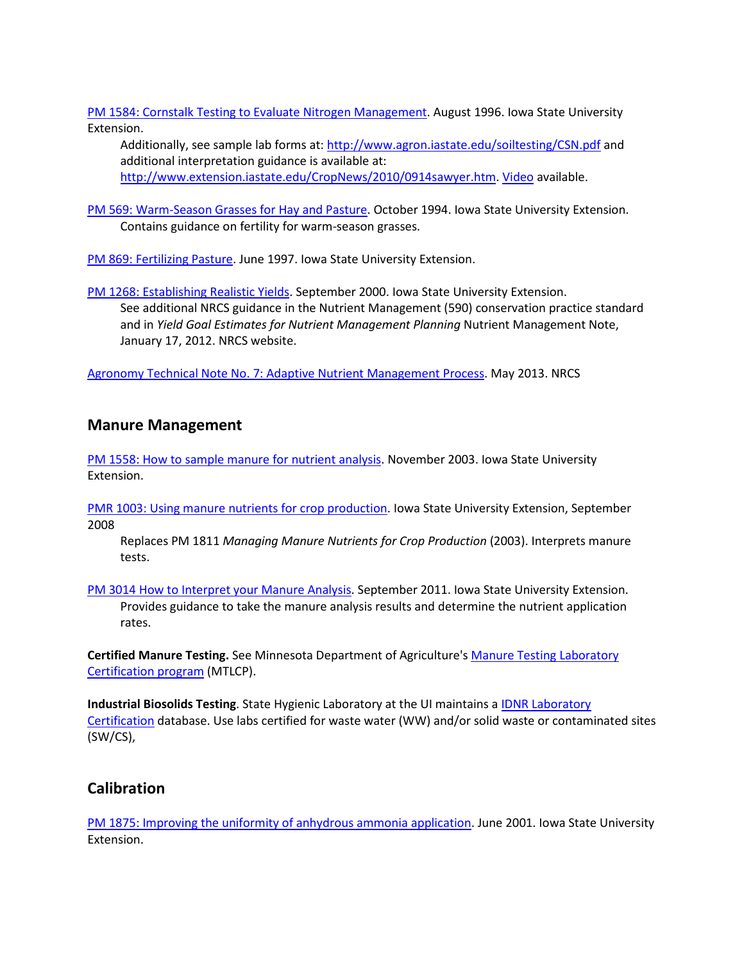[PM 1584: Cornstalk Testing to Evaluate Nitrogen Management.](https://store.extension.iastate.edu/Product/Cornstalk-Testing-to-Evaluate-Nitrogen-Management) August 1996. Iowa State University Extension.

Additionally, see sample lab forms at:<http://www.agron.iastate.edu/soiltesting/CSN.pdf> and additional interpretation guidance is available at: [http://www.extension.iastate.edu/CropNews/2010/0914sawyer.htm.](http://www.extension.iastate.edu/CropNews/2010/0914sawyer.htm) [Video](https://store.extension.iastate.edu/Product/End-of-Season-Cornstalk-Nitrate-Testing-Video) available.

[PM 569: Warm-Season Grasses for Hay and Pasture.](https://store.extension.iastate.edu/Product/Warm-Season-Grasses-for-Hay-and-Pasture) October 1994. Iowa State University Extension. Contains guidance on fertility for warm-season grasses.

[PM 869: Fertilizing Pasture.](https://store.extension.iastate.edu/Product/Fertilizing-Pasture) June 1997. Iowa State University Extension.

[PM 1268: Establishing Realistic Yields.](https://store.extension.iastate.edu/Product/Establishing-Realistic-Yield-Goals) September 2000. Iowa State University Extension. See additional NRCS guidance in the Nutrient Management (590) conservation practice standard and in *Yield Goal Estimates for Nutrient Management Planning* Nutrient Management Note, January 17, 2012. NRCS website.

[Agronomy Technical Note No. 7: Adaptive Nutrient Management Process.](http://directives.sc.egov.usda.gov/OpenNonWebContent.aspx?content=33791.wba) May 2013. NRCS

### **Manure Management**

[PM 1558: How to sample manure for nutrient analysis.](https://store.extension.iastate.edu/Product/How-to-Sample-Manure-for-Nutrient-Analysis) November 2003. Iowa State University Extension.

[PMR 1003: Using manure nutrients](https://store.extension.iastate.edu/Product/Using-Manure-Nutrients-for-Crop-Production) for crop production. Iowa State University Extension, September 2008

Replaces PM 1811 *Managing Manure Nutrients for Crop Production* (2003). Interprets manure tests.

[PM 3014 How to Interpret your Manure Analysis.](https://store.extension.iastate.edu/ProductList.aspx?Keyword=PM%203014) September 2011. Iowa State University Extension. Provides guidance to take the manure analysis results and determine the nutrient application rates.

**Certified Manure Testing.** See Minnesota Department of Agriculture'[s Manure Testing Laboratory](http://www2.mda.state.mn.us/webapp/lis/manurelabs.jsp)  [Certification program](http://www2.mda.state.mn.us/webapp/lis/manurelabs.jsp) (MTLCP).

**Industrial Biosolids Testing**. State Hygienic Laboratory at the UI maintains a **IDNR** Laboratory [Certification](http://www.shl.uiowa.edu/labcert/idnr/) database. Use labs certified for waste water (WW) and/or solid waste or contaminated sites (SW/CS),

### **Calibration**

[PM 1875: Improving the uniformity of anhydrous ammonia application.](https://store.extension.iastate.edu/Product/Improving-the-Uniformity-of-Anhydrous-Ammonia-Application) June 2001. Iowa State University Extension.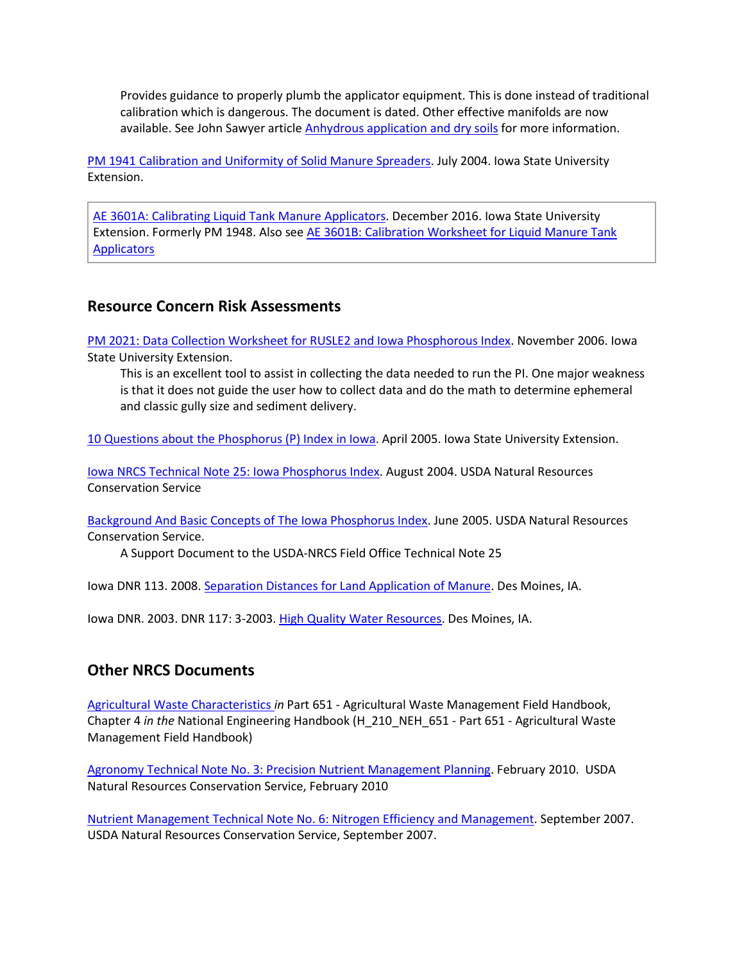Provides guidance to properly plumb the applicator equipment. This is done instead of traditional calibration which is dangerous. The document is dated. Other effective manifolds are now available. See John Sawyer article **Anhydrous application and dry soils** for more information.

[PM 1941 Calibration and Uniformity of Solid Manure Spreaders.](https://store.extension.iastate.edu/Product/Calibration-and-Uniformity-of-Solid-Manure-Spreaders) July 2004. Iowa State University Extension.

[AE 3601A: Calibrating Liquid Tank Manure Applicators.](https://store.extension.iastate.edu/Product/Calibrating-Liquid-Tank-Manure-Applicators) December 2016. Iowa State University Extension. Formerly PM 1948. Also se[e AE 3601B: Calibration Worksheet for Liquid Manure Tank](https://store.extension.iastate.edu/Product/Calibration-Worksheet-for-Liquid-Manure-Tank-Applicators)  **Applicators** 

### **Resource Concern Risk Assessments**

[PM 2021: Data Collection Worksheet for RUSLE2 and Iowa Phosphorous Index.](https://store.extension.iastate.edu/Product/Data-Collection-Worksheet-for-RUSLE2-and-Iowa-Phosphorous-Index) November 2006. Iowa State University Extension.

This is an excellent tool to assist in collecting the data needed to run the PI. One major weakness is that it does not guide the user how to collect data and do the math to determine ephemeral and classic gully size and sediment delivery.

[10 Questions about the Phosphorus \(P\) Index in Iowa.](http://www.extension.iastate.edu/Publications/PM1993.pdf) April 2005. Iowa State University Extension.

Iowa NRCS Technical Note [25: Iowa Phosphorus Index.](http://www.nrcs.usda.gov/Internet/FSE_DOCUMENTS/nrcs142p2_007643.pdf) August 2004. USDA Natural Resources Conservation Service

[Background And Basic Concepts of The Iowa Phosphorus Index.](https://www.nrcs.usda.gov/Internet/FSE_DOCUMENTS/nrcs142p2_006950.pdf) June 2005. USDA Natural Resources Conservation Service.

A Support Document to the USDA-NRCS Field Office Technical Note 25

Iowa DNR 113. 2008. [Separation Distances for Land Application of Manure.](http://www.iowadnr.gov/portals/idnr/uploads/afo/fs_sepdstb4.pdf) Des Moines, IA.

Iowa DNR. 2003. DNR 117: 3-2003. [High Quality Water Resources.](http://www.iowadnr.gov/portals/idnr/uploads/afo/hqwr2.pdf) Des Moines, IA.

### **Other NRCS Documents**

[Agricultural Waste Characteristics](http://directives.sc.egov.usda.gov/OpenNonWebContent.aspx?content=31475.wba) *in* Part 651 - Agricultural Waste Management Field Handbook, Chapter 4 *in the* National Engineering Handbook (H\_210\_NEH\_651 - Part 651 - Agricultural Waste Management Field Handbook)

[Agronomy Technical Note No. 3: Precision Nutrient Management Planning.](http://directives.sc.egov.usda.gov/OpenNonWebContent.aspx?content=26794.wba) February 2010. USDA Natural Resources Conservation Service, February 2010

[Nutrient Management Technical Note No. 6: Nitrogen Efficiency and Management.](https://directives.sc.egov.usda.gov/OpenNonWebContent.aspx?content=18563.wba) September 2007. USDA Natural Resources Conservation Service, September 2007.